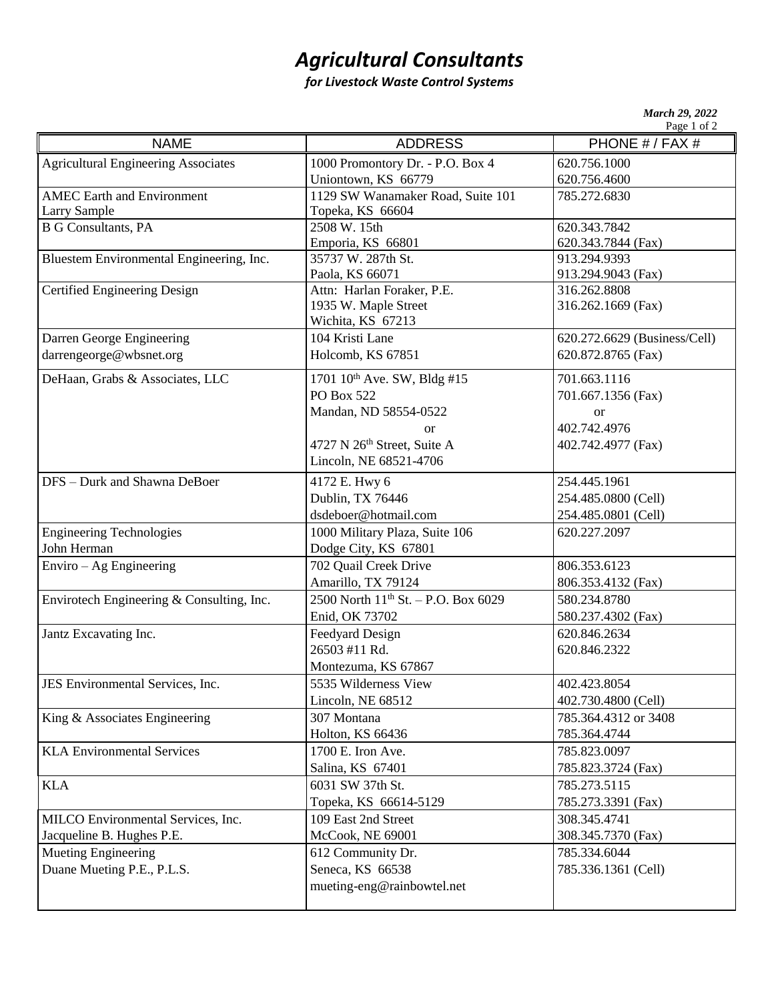## *Agricultural Consultants*

## *for Livestock Waste Control Systems*

| <b>March 29, 2022</b> |             |
|-----------------------|-------------|
|                       | Page 1 of 2 |

|                                            |                                          | Page 1 of 2                  |
|--------------------------------------------|------------------------------------------|------------------------------|
| <b>NAME</b>                                | <b>ADDRESS</b>                           | PHONE # / FAX #              |
| <b>Agricultural Engineering Associates</b> | 1000 Promontory Dr. - P.O. Box 4         | 620.756.1000                 |
|                                            | Uniontown, KS 66779                      | 620.756.4600                 |
| <b>AMEC</b> Earth and Environment          | 1129 SW Wanamaker Road, Suite 101        | 785.272.6830                 |
| Larry Sample                               | Topeka, KS 66604                         |                              |
| <b>B G Consultants, PA</b>                 | 2508 W. 15th                             | 620.343.7842                 |
|                                            | Emporia, KS 66801                        | 620.343.7844 (Fax)           |
| Bluestem Environmental Engineering, Inc.   | 35737 W. 287th St.                       | 913.294.9393                 |
|                                            | Paola, KS 66071                          | 913.294.9043 (Fax)           |
| <b>Certified Engineering Design</b>        | Attn: Harlan Foraker, P.E.               | 316.262.8808                 |
|                                            | 1935 W. Maple Street                     | 316.262.1669 (Fax)           |
|                                            | Wichita, KS 67213                        |                              |
| Darren George Engineering                  | 104 Kristi Lane                          | 620.272.6629 (Business/Cell) |
| darrengeorge@wbsnet.org                    | Holcomb, KS 67851                        | 620.872.8765 (Fax)           |
| DeHaan, Grabs & Associates, LLC            | 1701 10 <sup>th</sup> Ave. SW, Bldg #15  | 701.663.1116                 |
|                                            | <b>PO Box 522</b>                        | 701.667.1356 (Fax)           |
|                                            | Mandan, ND 58554-0522                    | <b>or</b>                    |
|                                            | <sub>or</sub>                            | 402.742.4976                 |
|                                            | 4727 N 26th Street, Suite A              | 402.742.4977 (Fax)           |
|                                            | Lincoln, NE 68521-4706                   |                              |
| DFS - Durk and Shawna DeBoer               | 4172 E. Hwy 6                            | 254.445.1961                 |
|                                            | Dublin, TX 76446                         | 254.485.0800 (Cell)          |
|                                            | dsdeboer@hotmail.com                     | 254.485.0801 (Cell)          |
| <b>Engineering Technologies</b>            | 1000 Military Plaza, Suite 106           | 620.227.2097                 |
| John Herman                                | Dodge City, KS 67801                     |                              |
| $Enviro - Ag Engineering$                  | 702 Quail Creek Drive                    | 806.353.6123                 |
|                                            | Amarillo, TX 79124                       | 806.353.4132 (Fax)           |
| Envirotech Engineering & Consulting, Inc.  | 2500 North $11^{th}$ St. - P.O. Box 6029 | 580.234.8780                 |
|                                            | Enid, OK 73702                           | 580.237.4302 (Fax)           |
| Jantz Excavating Inc.                      | Feedyard Design                          | 620.846.2634                 |
|                                            | 26503 #11 Rd.                            | 620.846.2322                 |
|                                            | Montezuma, KS 67867                      |                              |
| JES Environmental Services, Inc.           | 5535 Wilderness View                     | 402.423.8054                 |
|                                            | Lincoln, NE 68512                        | 402.730.4800 (Cell)          |
| King & Associates Engineering              | 307 Montana                              | 785.364.4312 or 3408         |
|                                            | Holton, KS 66436                         | 785.364.4744                 |
| <b>KLA Environmental Services</b>          | 1700 E. Iron Ave.                        | 785.823.0097                 |
|                                            | Salina, KS 67401                         | 785.823.3724 (Fax)           |
| <b>KLA</b>                                 | 6031 SW 37th St.                         | 785.273.5115                 |
|                                            | Topeka, KS 66614-5129                    | 785.273.3391 (Fax)           |
| MILCO Environmental Services, Inc.         | 109 East 2nd Street                      | 308.345.4741                 |
|                                            |                                          |                              |
| Jacqueline B. Hughes P.E.                  | McCook, NE 69001                         | 308.345.7370 (Fax)           |
| Mueting Engineering                        | 612 Community Dr.                        | 785.334.6044                 |
| Duane Mueting P.E., P.L.S.                 | Seneca, KS 66538                         | 785.336.1361 (Cell)          |
|                                            | mueting-eng@rainbowtel.net               |                              |
|                                            |                                          |                              |